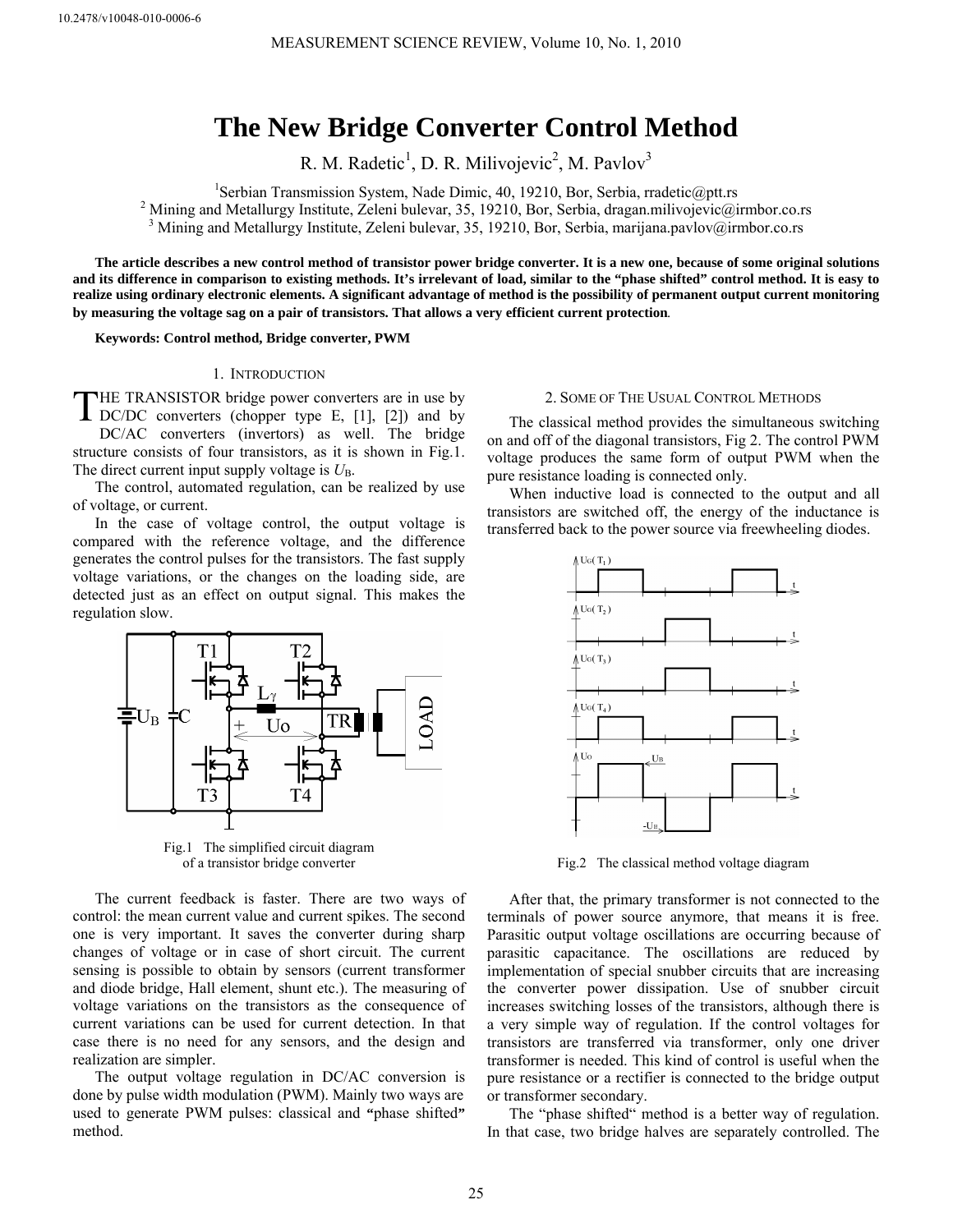# **The New Bridge Converter Control Method**

R. M. Radetic<sup>1</sup>, D. R. Milivojevic<sup>2</sup>, M. Pavlov<sup>3</sup>

<sup>1</sup>Serbian Transmission System, Nade Dimic, 40, 19210, Bor, Serbia, rradetic@ptt.rs<sup>2</sup> Mining and Matellurgy Institute, Zelani bulguer, 35, 19210, Bor, Serbia, dregen militarial@ii <sup>2</sup> Mining and Metallurgy Institute, Zeleni bulevar, 35, 19210, Bor, Serbia, dragan.milivojevic@irmbor.co.rs <sup>3</sup> Mining and Metallurgy Institute, Zeleni bulevar, 35, 19210, Bor, Serbia, marijana.pavlov@irmbor.co.rs

**The article describes a new control method of transistor power bridge converter. It is a new one, because of some original solutions and its difference in comparison to existing methods. It's irrelevant of load, similar to the "phase shifted" control method. It is easy to realize using ordinary electronic elements. A significant advantage of method is the possibility of permanent output current monitoring by measuring the voltage sag on a pair of transistors. That allows a very efficient current protection***.* 

**Keywords: Control method, Bridge converter, PWM** 

#### 1. INTRODUCTION

HE TRANSISTOR bridge power converters are in use by THE TRANSISTOR bridge power converters are in use by DC/DC converters (chopper type E, [1], [2]) and by DC/AC converters (invertors) as well. The bridge structure consists of four transistors, as it is shown in Fig.1. The direct current input supply voltage is  $U_{\text{B}}$ .

The control, automated regulation, can be realized by use of voltage, or current.

In the case of voltage control, the output voltage is compared with the reference voltage, and the difference generates the control pulses for the transistors. The fast supply voltage variations, or the changes on the loading side, are detected just as an effect on output signal. This makes the regulation slow.



Fig.1 The simplified circuit diagram of a transistor bridge converter

The current feedback is faster. There are two ways of control: the mean current value and current spikes. The second one is very important. It saves the converter during sharp changes of voltage or in case of short circuit. The current sensing is possible to obtain by sensors (current transformer and diode bridge, Hall element, shunt etc.). The measuring of voltage variations on the transistors as the consequence of current variations can be used for current detection. In that case there is no need for any sensors, and the design and realization are simpler.

The output voltage regulation in DC/AC conversion is done by pulse width modulation (PWM). Mainly two ways are used to generate PWM pulses: classical and **"**phase shifted**"** method.

## 2. SOME OF THE USUAL CONTROL METHODS

The classical method provides the simultaneous switching on and off of the diagonal transistors, Fig 2. The control PWM voltage produces the same form of output PWM when the pure resistance loading is connected only.

When inductive load is connected to the output and all transistors are switched off, the energy of the inductance is transferred back to the power source via freewheeling diodes.



Fig.2 The classical method voltage diagram

After that, the primary transformer is not connected to the terminals of power source anymore, that means it is free. Parasitic output voltage oscillations are occurring because of parasitic capacitance. The oscillations are reduced by implementation of special snubber circuits that are increasing the converter power dissipation. Use of snubber circuit increases switching losses of the transistors, although there is a very simple way of regulation. If the control voltages for transistors are transferred via transformer, only one driver transformer is needed. This kind of control is useful when the pure resistance or a rectifier is connected to the bridge output or transformer secondary.

The "phase shifted" method is a better way of regulation. In that case, two bridge halves are separately controlled. The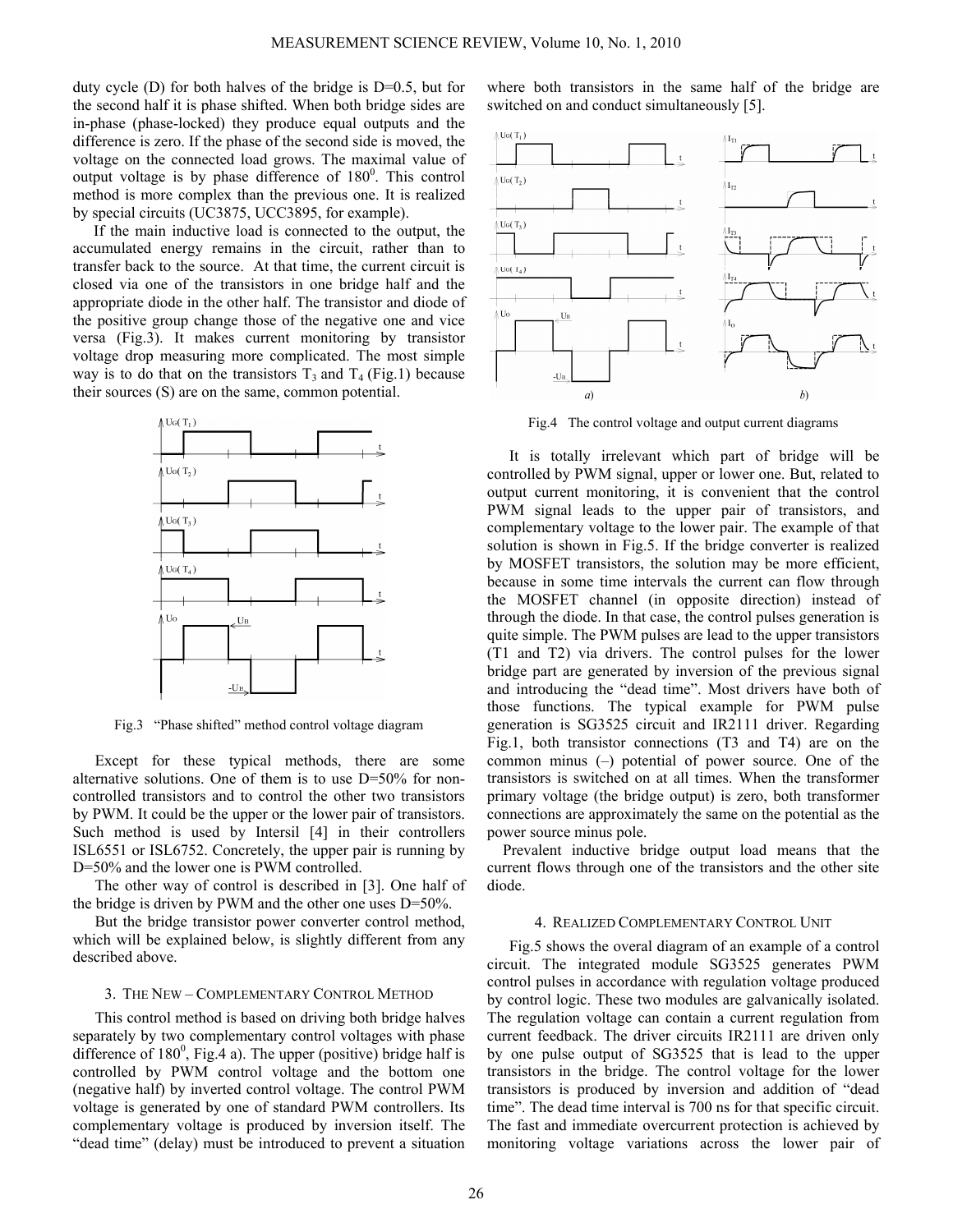duty cycle (D) for both halves of the bridge is D=0.5, but for the second half it is phase shifted. When both bridge sides are in-phase (phase-locked) they produce equal outputs and the difference is zero. If the phase of the second side is moved, the voltage on the connected load grows. The maximal value of output voltage is by phase difference of  $180^\circ$ . This control method is more complex than the previous one. It is realized by special circuits (UC3875, UCC3895, for example).

If the main inductive load is connected to the output, the accumulated energy remains in the circuit, rather than to transfer back to the source. At that time, the current circuit is closed via one of the transistors in one bridge half and the appropriate diode in the other half. The transistor and diode of the positive group change those of the negative one and vice versa (Fig.3). It makes current monitoring by transistor voltage drop measuring more complicated. The most simple way is to do that on the transistors  $T_3$  and  $T_4$  (Fig.1) because their sources (S) are on the same, common potential.



Fig.3 "Phase shifted" method control voltage diagram

Except for these typical methods, there are some alternative solutions. One of them is to use D=50% for noncontrolled transistors and to control the other two transistors by PWM. It could be the upper or the lower pair of transistors. Such method is used by Intersil [4] in their controllers ISL6551 or ISL6752. Concretely, the upper pair is running by D=50% and the lower one is PWM controlled.

The other way of control is described in [3]. One half of the bridge is driven by PWM and the other one uses D=50%.

But the bridge transistor power converter control method, which will be explained below, is slightly different from any described above.

# 3. THE NEW – COMPLEMENTARY CONTROL METHOD

This control method is based on driving both bridge halves separately by two complementary control voltages with phase difference of  $180^0$ , Fig.4 a). The upper (positive) bridge half is controlled by PWM control voltage and the bottom one (negative half) by inverted control voltage. The control PWM voltage is generated by one of standard PWM controllers. Its complementary voltage is produced by inversion itself. The "dead time" (delay) must be introduced to prevent a situation

where both transistors in the same half of the bridge are switched on and conduct simultaneously [5].



Fig.4 The control voltage and output current diagrams

It is totally irrelevant which part of bridge will be controlled by PWM signal, upper or lower one. But, related to output current monitoring, it is convenient that the control PWM signal leads to the upper pair of transistors, and complementary voltage to the lower pair. The example of that solution is shown in Fig.5. If the bridge converter is realized by MOSFET transistors, the solution may be more efficient, because in some time intervals the current can flow through the MOSFET channel (in opposite direction) instead of through the diode. In that case, the control pulses generation is quite simple. The PWM pulses are lead to the upper transistors (T1 and T2) via drivers. The control pulses for the lower bridge part are generated by inversion of the previous signal and introducing the "dead time". Most drivers have both of those functions. The typical example for PWM pulse generation is SG3525 circuit and IR2111 driver. Regarding Fig.1, both transistor connections (T3 and T4) are on the common minus (–) potential of power source. One of the transistors is switched on at all times. When the transformer primary voltage (the bridge output) is zero, both transformer connections are approximately the same on the potential as the power source minus pole.

Prevalent inductive bridge output load means that the current flows through one of the transistors and the other site diode.

#### 4. REALIZED COMPLEMENTARY CONTROL UNIT

Fig.5 shows the overal diagram of an example of a control circuit. The integrated module SG3525 generates PWM control pulses in accordance with regulation voltage produced by control logic. These two modules are galvanically isolated. The regulation voltage can contain a current regulation from current feedback. The driver circuits IR2111 are driven only by one pulse output of SG3525 that is lead to the upper transistors in the bridge. The control voltage for the lower transistors is produced by inversion and addition of "dead time". The dead time interval is 700 ns for that specific circuit. The fast and immediate overcurrent protection is achieved by monitoring voltage variations across the lower pair of